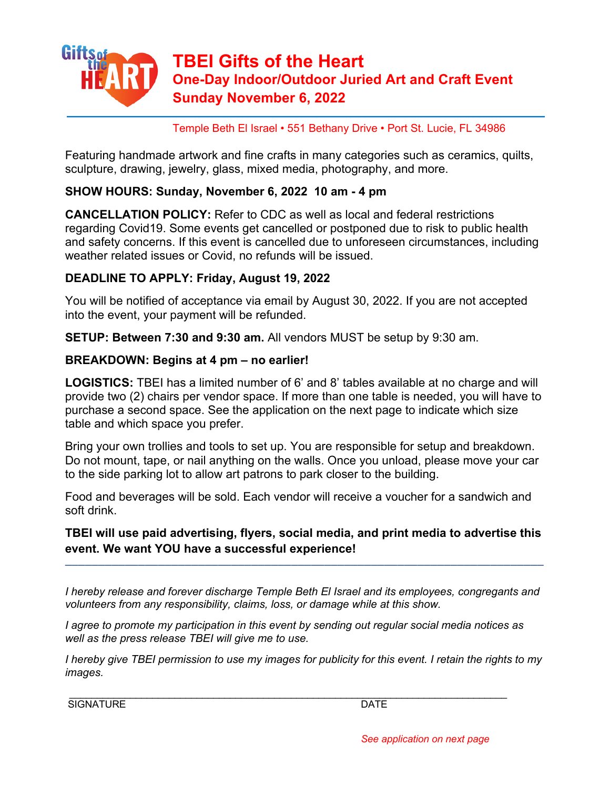

Temple Beth El Israel • 551 Bethany Drive • Port St. Lucie, FL 34986

Featuring handmade artwork and fine crafts in many categories such as ceramics, quilts, sculpture, drawing, jewelry, glass, mixed media, photography, and more.

### **SHOW HOURS: Sunday, November 6, 2022 10 am - 4 pm**

**CANCELLATION POLICY:** Refer to CDC as well as local and federal restrictions regarding Covid19. Some events get cancelled or postponed due to risk to public health and safety concerns. If this event is cancelled due to unforeseen circumstances, including weather related issues or Covid, no refunds will be issued.

## **DEADLINE TO APPLY: Friday, August 19, 2022**

You will be notified of acceptance via email by August 30, 2022. If you are not accepted into the event, your payment will be refunded.

**SETUP: Between 7:30 and 9:30 am.** All vendors MUST be setup by 9:30 am.

#### **BREAKDOWN: Begins at 4 pm – no earlier!**

**LOGISTICS:** TBEI has a limited number of 6' and 8' tables available at no charge and will provide two (2) chairs per vendor space. If more than one table is needed, you will have to purchase a second space. See the application on the next page to indicate which size table and which space you prefer.

Bring your own trollies and tools to set up. You are responsible for setup and breakdown. Do not mount, tape, or nail anything on the walls. Once you unload, please move your car to the side parking lot to allow art patrons to park closer to the building.

Food and beverages will be sold. Each vendor will receive a voucher for a sandwich and soft drink.

# **TBEI will use paid advertising, flyers, social media, and print media to advertise this event. We want YOU have a successful experience!**

––––––––––––––––––––––––––––––––––––––––––––––––––––––––––––––––––––––––

*I hereby release and forever discharge Temple Beth El Israel and its employees, congregants and volunteers from any responsibility, claims, loss, or damage while at this show.*

*I agree to promote my participation in this event by sending out regular social media notices as well as the press release TBEI will give me to use.*

\_\_\_\_\_\_\_\_\_\_\_\_\_\_\_\_\_\_\_\_\_\_\_\_\_\_\_\_\_\_\_\_\_\_\_\_\_\_\_\_\_\_\_\_\_\_\_\_\_\_\_\_\_\_\_\_\_\_\_\_\_\_\_\_\_\_\_\_\_\_\_\_\_\_\_\_\_\_\_

*I hereby give TBEI permission to use my images for publicity for this event. I retain the rights to my images.*

SIGNATURE DATE